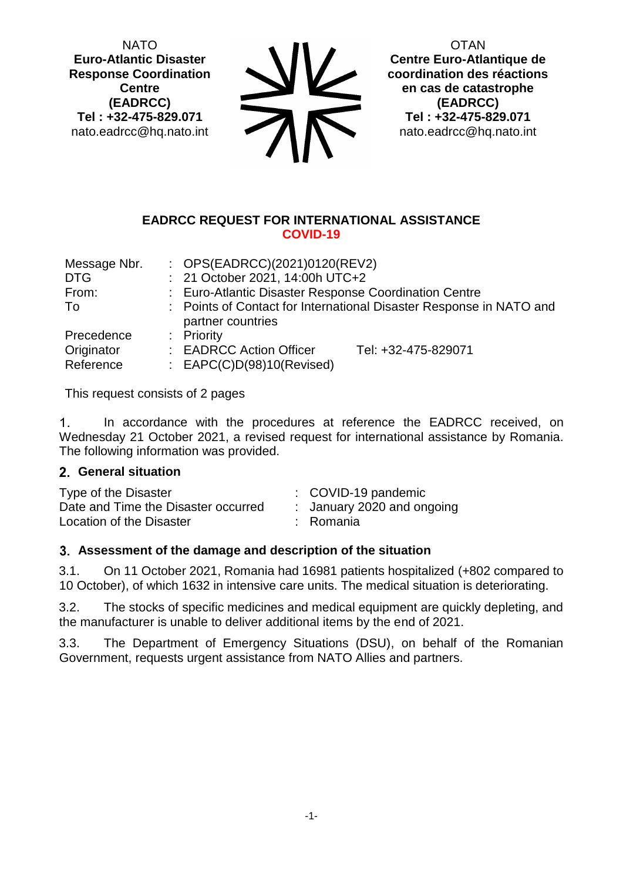NATO **Euro-Atlantic Disaster Response Coordination Centre (EADRCC) Tel : +32-475-829.071** nato.eadrcc@hq.nato.int

 $\sum_{i=1}^{\infty}$ 

**OTAN Centre Euro-Atlantique de coordination des réactions en cas de catastrophe (EADRCC) Tel : +32-475-829.071** nato.eadrcc@hq.nato.int

#### **EADRCC REQUEST FOR INTERNATIONAL ASSISTANCE COVID-19**

| Message Nbr. | : $OPS(EADRCC)(2021)0120(REV2)$                                                          |  |  |
|--------------|------------------------------------------------------------------------------------------|--|--|
| <b>DTG</b>   | : 21 October 2021, 14:00h UTC+2                                                          |  |  |
| From:        | : Euro-Atlantic Disaster Response Coordination Centre                                    |  |  |
| To           | : Points of Contact for International Disaster Response in NATO and<br>partner countries |  |  |
| Precedence   | : Priority                                                                               |  |  |
| Originator   | : EADRCC Action Officer<br>Tel: +32-475-829071                                           |  |  |
| Reference    | : $EAPC(C)D(98)10(Revised)$                                                              |  |  |

This request consists of 2 pages

 $1<sub>1</sub>$ In accordance with the procedures at reference the EADRCC received, on Wednesday 21 October 2021, a revised request for international assistance by Romania. The following information was provided.

## **General situation**

| Type of the Disaster                | $\therefore$ COVID-19 pandemic |
|-------------------------------------|--------------------------------|
| Date and Time the Disaster occurred | : January 2020 and ongoing     |
| Location of the Disaster            | : Romania                      |

## **Assessment of the damage and description of the situation**

3.1. On 11 October 2021, Romania had 16981 patients hospitalized (+802 compared to 10 October), of which 1632 in intensive care units. The medical situation is deteriorating.

3.2. The stocks of specific medicines and medical equipment are quickly depleting, and the manufacturer is unable to deliver additional items by the end of 2021.

3.3. The Department of Emergency Situations (DSU), on behalf of the Romanian Government, requests urgent assistance from NATO Allies and partners.